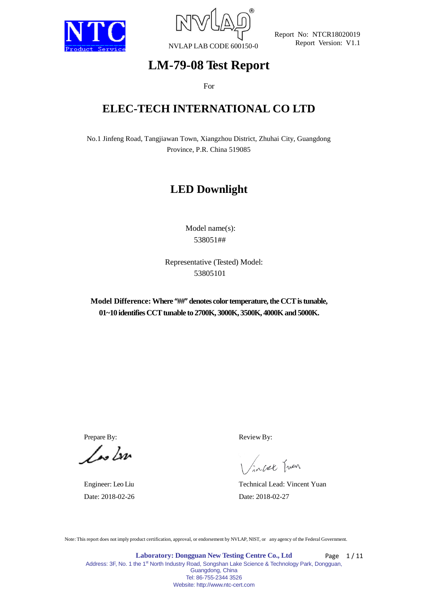



# **LM-79-08 Test Report**

For

# **ELEC-TECH INTERNATIONAL CO LTD**

No.1 Jinfeng Road, Tangjiawan Town, Xiangzhou District, Zhuhai City, Guangdong Province, P.R. China 519085

# **LED Downlight**

Model name(s): 538051##

Representative (Tested) Model: 53805101

**Model Difference: Where "##" denotes color temperature, the CCT is tunable, 01~10 identifies CCT tunable to 2700K, 3000K, 3500K, 4000K and 5000K.**

 $\sqrt{\omega}$ 

Prepare By: Review By:

incel Juen

Engineer: Leo Liu Technical Lead: Vincent Yuan Date: 2018-02-26 Date: 2018-02-27

Note: This report does not imply product certification, approval, or endorsement by NVLAP, NIST, or any agency of the Federal Government.

**Laboratory: Dongguan New Testing Centre Co., Ltd** Address: 3F, No. 1 the 1<sup>st</sup> North Industry Road, Songshan Lake Science & Technology Park, Dongguan, Guangdong, China Tel: 86-755-2344 3526 Website: http://www.ntc-cert.com Page 1/11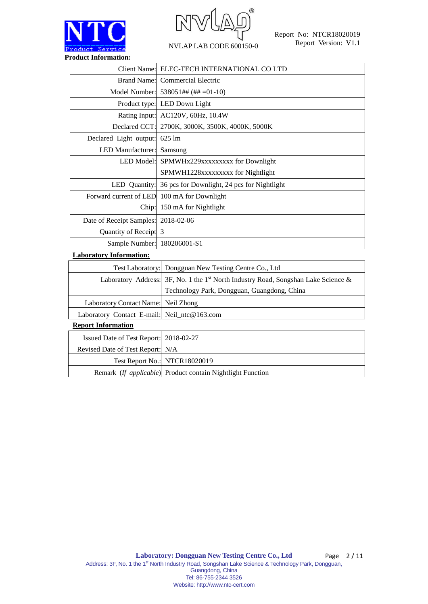



| <b>Client Name:</b>                         | ELEC-TECH INTERNATIONAL CO LTD                            |
|---------------------------------------------|-----------------------------------------------------------|
|                                             | Brand Name: Commercial Electric                           |
|                                             | Model Number: $538051$ ## (## =01-10)                     |
|                                             | Product type: LED Down Light                              |
|                                             | Rating Input: AC120V, 60Hz, 10.4W                         |
| Declared CCT:                               | 2700K, 3000K, 3500K, 4000K, 5000K                         |
| Declared Light output:                      | 625 lm                                                    |
| <b>LED</b> Manufacturer:                    | Samsung                                                   |
| LED Model:                                  | SPMWHx229xxxxxxxxx for Downlight                          |
|                                             | SPMWH1228xxxxxxxxx for Nightlight                         |
|                                             | LED Quantity: 36 pcs for Downlight, 24 pcs for Nightlight |
| Forward current of LED 100 mA for Downlight |                                                           |
| Chip:                                       | 150 mA for Nightlight                                     |
| Date of Receipt Samples:                    | 2018-02-06                                                |
| Quantity of Receipt 3                       |                                                           |
| Sample Number:                              | 180206001-S1                                              |
| <b>Laboratory Information:</b>              |                                                           |

| Test Laboratory: Dongguan New Testing Centre Co., Ltd                                          |
|------------------------------------------------------------------------------------------------|
| Laboratory Address: 3F, No. 1 the 1 <sup>st</sup> North Industry Road, Songshan Lake Science & |
| Technology Park, Dongguan, Guangdong, China                                                    |
| Laboratory Contact Name: Neil Zhong                                                            |
| Laboratory Contact E-mail: Neil_ntc@163.com                                                    |
|                                                                                                |

### **Report Information**

| Issued Date of Test Report: 2018-02-27 |                                                            |
|----------------------------------------|------------------------------------------------------------|
| Revised Date of Test Report: N/A       |                                                            |
|                                        | Test Report No.: NTCR18020019                              |
|                                        | Remark (If applicable) Product contain Nightlight Function |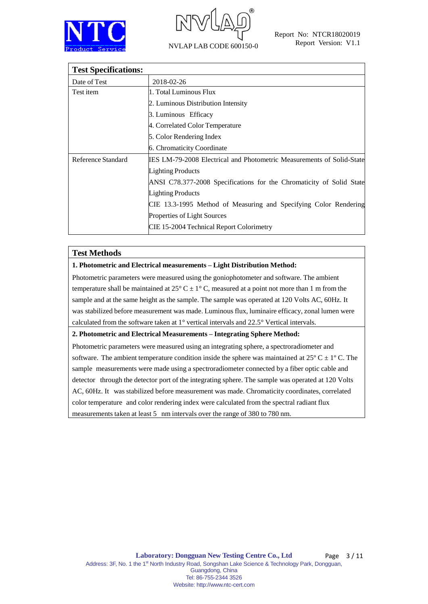



| <b>Test Specifications:</b> |                                                                              |  |  |  |  |  |
|-----------------------------|------------------------------------------------------------------------------|--|--|--|--|--|
| Date of Test                | 2018-02-26                                                                   |  |  |  |  |  |
| Test item                   | 1. Total Luminous Flux                                                       |  |  |  |  |  |
|                             | 2. Luminous Distribution Intensity                                           |  |  |  |  |  |
|                             | 3. Luminous Efficacy                                                         |  |  |  |  |  |
|                             | 4. Correlated Color Temperature                                              |  |  |  |  |  |
|                             | 5. Color Rendering Index                                                     |  |  |  |  |  |
|                             | 6. Chromaticity Coordinate                                                   |  |  |  |  |  |
| Reference Standard          | <b>IES LM-79-2008 Electrical and Photometric Measurements of Solid-State</b> |  |  |  |  |  |
|                             | <b>Lighting Products</b>                                                     |  |  |  |  |  |
|                             | ANSI C78.377-2008 Specifications for the Chromaticity of Solid State         |  |  |  |  |  |
|                             | <b>Lighting Products</b>                                                     |  |  |  |  |  |
|                             | CIE 13.3-1995 Method of Measuring and Specifying Color Rendering             |  |  |  |  |  |
|                             | Properties of Light Sources                                                  |  |  |  |  |  |
|                             | CIE 15-2004 Technical Report Colorimetry                                     |  |  |  |  |  |

### **Test Methods**

#### **1. Photometric and Electrical measurements – Light Distribution Method:**

Photometric parameters were measured using the goniophotometer and software. The ambient temperature shall be maintained at  $25^{\circ}$  C  $\pm$  1°C, measured at a point not more than 1 m from the sample and at the same height as the sample. The sample was operated at 120 Volts AC, 60Hz. It was stabilized before measurement was made. Luminous flux, luminaire efficacy, zonal lumen were calculated from the software taken at  $1^{\circ}$  vertical intervals and  $22.5^{\circ}$  Vertical intervals.

#### **2. Photometric and Electrical Measurements – Integrating Sphere Method:**

Photometric parameters were measured using an integrating sphere, a spectroradiometer and software. The ambient temperature condition inside the sphere was maintained at  $25^{\circ}$  C  $\pm$  1<sup>o</sup> C. The sample measurements were made using a spectroradiometer connected by a fiber optic cable and detector through the detector port of the integrating sphere. The sample was operated at 120 Volts AC, 60Hz. It was stabilized before measurement was made. Chromaticity coordinates, correlated color temperature and color rendering index were calculated from the spectral radiant flux measurements taken at least 5 nm intervals over the range of 380 to 780 nm.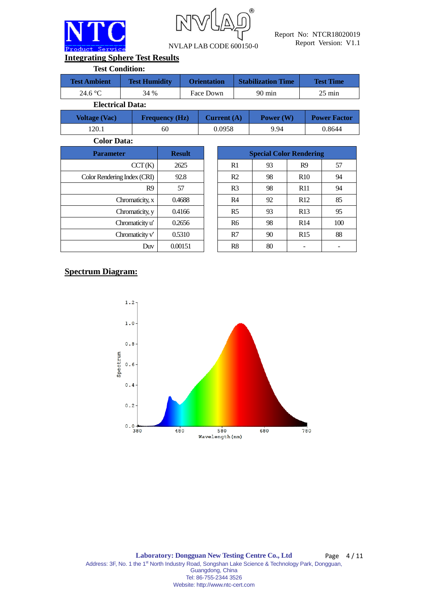



**Integrating Sphere Test Results**

| <b>Test Condition:</b> |                         |                    |                           |                  |
|------------------------|-------------------------|--------------------|---------------------------|------------------|
| <b>Test Ambient</b>    | <b>Test Humidity</b>    | <b>Orientation</b> | <b>Stabilization Time</b> | <b>Test Time</b> |
| 24.6 °C                | 34 %                    | Face Down          | $90 \text{ min}$          | $25 \text{ min}$ |
|                        | <b>Electrical Data:</b> |                    |                           |                  |

| <b>Voltage (Vac)</b> | <b>Frequency (Hz)</b> | Current $(A)$ | Power $(W)$ | <b>Power Factor</b> |
|----------------------|-----------------------|---------------|-------------|---------------------|
| 120.1                | 60                    | 0.0958        | 9.94        | 0.8644              |

**Color Data:**

| <b>Parameter</b>            | <b>Result</b> |                |    | <b>Special Color Rendering</b> |
|-----------------------------|---------------|----------------|----|--------------------------------|
| CCT(K)                      | 2625          | R1             | 93 | R <sub>9</sub>                 |
| Color Rendering Index (CRI) | 92.8          | R <sub>2</sub> | 98 | R10                            |
| R <sub>9</sub>              | 57            | R <sub>3</sub> | 98 | <b>R11</b>                     |
| Chromaticity, x             | 0.4688        | R <sub>4</sub> | 92 | R12                            |
| Chromaticity, y             | 0.4166        | R <sub>5</sub> | 93 | R13                            |
| Chromaticity u'             | 0.2656        | <b>R6</b>      | 98 | R14                            |
| Chromaticity $v'$           | 0.5310        | R7             | 90 | R15                            |
| Duv                         | 0.00151       | R8             | 80 |                                |

| <b>Parameter</b>            | <b>Result</b> | <b>Special Color Rendering</b> |    |                 |     |  |
|-----------------------------|---------------|--------------------------------|----|-----------------|-----|--|
| CCT(K)                      | 2625          | R1                             | 93 | R <sub>9</sub>  | 57  |  |
| Color Rendering Index (CRI) | 92.8          | R <sub>2</sub>                 | 98 | R <sub>10</sub> | 94  |  |
| R <sub>9</sub>              | 57            | R <sub>3</sub>                 | 98 | R11             | 94  |  |
| Chromaticity, x             | 0.4688        | R <sub>4</sub>                 | 92 | R12             | 85  |  |
| Chromaticity, y             | 0.4166        | R <sub>5</sub>                 | 93 | R13             | 95  |  |
| Chromaticity u'             | 0.2656        | <b>R6</b>                      | 98 | R14             | 100 |  |
| Chromaticity $v'$           | 0.5310        | R7                             | 90 | R15             | 88  |  |
| Duv                         | 0.00151       | R8                             | 80 |                 |     |  |

## **Spectrum Diagram:**

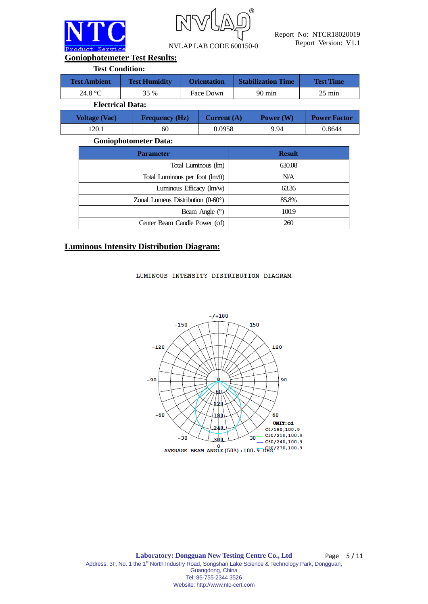

R NVLAP LAB CODE 600150-0

Report No: NTCR18020019 Report Version: V1.1

**Goniophotemeter Test Results:**

| <b>Stabilization Time</b><br><b>Test Ambient</b><br><b>Test Humidity</b><br><b>Orientation</b> | <b>Test Condition:</b> |  |  |  |  |  |  |  |  |  |
|------------------------------------------------------------------------------------------------|------------------------|--|--|--|--|--|--|--|--|--|
|                                                                                                | <b>Test Time</b>       |  |  |  |  |  |  |  |  |  |
| 24.8 $\mathrm{^{\circ}C}$<br>35 %<br>$90 \text{ min}$<br>Face Down                             | $25 \text{ min}$       |  |  |  |  |  |  |  |  |  |
| <b>Electrical Data:</b>                                                                        |                        |  |  |  |  |  |  |  |  |  |

| <b>Voltage (Vac)</b> | <b>Frequency (Hz)</b> | Current $(A)$ | Power (W) | <b>Power Factor</b> |
|----------------------|-----------------------|---------------|-----------|---------------------|
| .20.1                | 60                    | 0.0958        | 9.94      | 0.8644              |

#### **Goniophotometer Data:**

| <b>Parameter</b>                           | <b>Result</b> |
|--------------------------------------------|---------------|
| Total Luminous (lm)                        | 630.08        |
| Total Luminous per foot (lm/ft)            | N/A           |
| Luminous Efficacy (lm/w)                   | 63.36         |
| Zonal Lumens Distribution $(0-60^{\circ})$ | 85.8%         |
| Beam Angle $(°)$                           | 100.9         |
| Center Beam Candle Power (cd)              | 260           |

### **Luminous Intensity Distribution Diagram:**

#### LUMINOUS INTENSITY DISTRIBUTION DIAGRAM

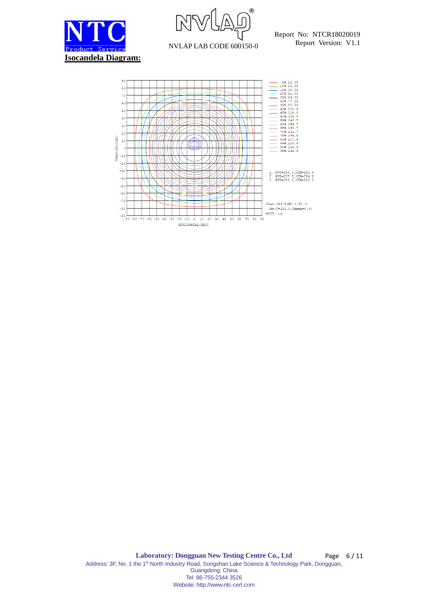



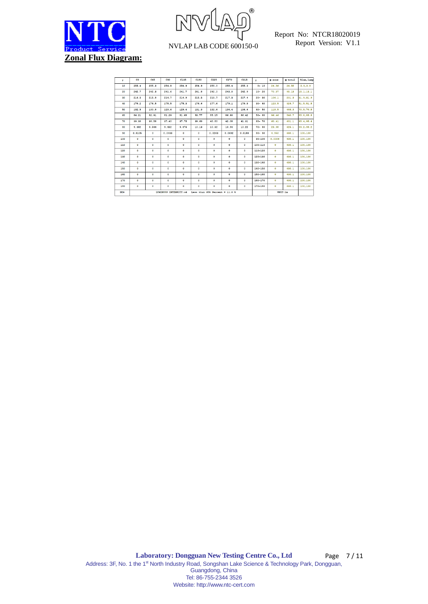



| Y               | C0        | C45                                                       | C90      | C135    | C180      | C225       | C270         | C315    | Y           | $0$ sone     | $\Phi$ total | 41um, lamp |
|-----------------|-----------|-----------------------------------------------------------|----------|---------|-----------|------------|--------------|---------|-------------|--------------|--------------|------------|
| 10              | 255.4     | 255.3                                                     | 254.9    | 254.9   | 254.9     | 255.0      | 255.4        | 255.3   | $0 - 10$    | 24.56        | 24.56        | 3.9.3.9    |
| 20              | 242.7     | 242.3                                                     | 241.6    | 241.7   | 241.8     | 242.0      | 243.0        | 242.9   | $10 - 20$   | 70.57        | 95.13        | 15.1, 15.1 |
| 30 <sub>o</sub> | 216.5     | 215.8                                                     | 214.7    | 214.9   | 215.5     | 215.7      | 217.3        | 217.4   | $20 - 30$   | 106.1        | 201.3        | 31.9.31.9  |
| 40              | 178.2     | 176.5                                                     | 175.5    | 175.3   | 176.6     | 177.6      | 179.1        | 179.9   | $30 - 40$   | 123.5        | 324.7        | 51.5, 51.5 |
| 50              | 132.5     | 130.8                                                     | 129.6    | 129.4   | 131.3     | 132.6      | 134.4        | 134.6   | $40 - 50$   | 119.5        | 444.3        | 70.5, 70.5 |
| 60              | 84.21     | 82.91                                                     | 81.29    | 81.68   | 83.77     | 85.15      | 86.90        | 86.42   | $50 - 60$   | 96.46        | 540.7        | 85.8,85.8  |
| 70              | 39.30     | 38.58                                                     | 37.40    | 37.75   | 39.60     | 40.80      | 42.08        | 41.31   | $60 - 70$   | 60.41        | 601.1        | 95.4,95.4  |
| 80              | 9.482     | 9.544                                                     | 9.432    | 9.476   | 10.13     | 10.32      | 10.94        | 10.22   | $70 - 80$   | 23.98        | 625.1        | 99.2,99.2  |
| 90              | 0.0105    | $\circ$                                                   | 0.0033   | $\circ$ | $\bullet$ | 0.0263     | 0.0692       | 0.0183  | $80 - 90$   | 4.950        | 630.1        | 100,100    |
| 100             | $\circ$   | ٥                                                         | $\circ$  | ۰       | $\circ$   | $^{\circ}$ | $\bullet$    | $\circ$ | $90 - 100$  | 0.0006       | 630.1        | 100,100    |
| 110             | $\circ$   | $\circ$                                                   | $\circ$  | $\circ$ | $\circ$   | $\circ$    | $\bullet$    | $\circ$ | 100-110     | $\Omega$     | 630.1        | 100,100    |
| 120             | $\circ$   | ۰                                                         | $\circ$  | ۰       | $\circ$   | $\circ$    | ۰            | ٥       | $110 - 120$ | $\circ$      | 630.1        | 100,100    |
| 130             | $\circ$   | $\circ$                                                   | $\Omega$ | $\circ$ | $\circ$   | $\circ$    | $\bullet$    | $\circ$ | 120-130     | $\Omega$     | 620.1        | 100,100    |
| 140             | $\circ$   | ۰                                                         | $\circ$  | ۰       | $\circ$   | $^{\circ}$ | $^{\circ}$   | ٥       | $130 - 140$ | $\circ$      | 630.1        | 100,100    |
| 150             | $\circ$   | $\circ$                                                   | $\circ$  | $\circ$ | $\circ$   | $\circ$    | $\bullet$    | $\circ$ | 140-150     | $\mathbf{0}$ | 620.1        | 100,100    |
| 160             | $\circ$   | ۰                                                         | $\circ$  | ۰       | $\bullet$ | $^{\circ}$ | $^{\circ}$   | $\circ$ | 150-160     | $\circ$      | 630.1        | 100,100    |
| 170             | $\circ$   | $\circ$                                                   | $\circ$  | $\circ$ | $\circ$   | $\circ$    | $\bullet$    | $\circ$ | 160-170     | $\circ$      | 620.1        | 100,100    |
| 180             | $\bullet$ | ۰                                                         | $\circ$  | ۰       | $\bullet$ | ۰          | $\mathbf{a}$ | $\circ$ | 170-180     | $\circ$      | 630.1        | 100,100    |
| <b>DEG</b>      |           | LUMINOUS INTENSITY:cd<br>Less than $35k$ Percent = 11.0 % |          |         |           |            |              |         |             | UNIT: 1m     |              |            |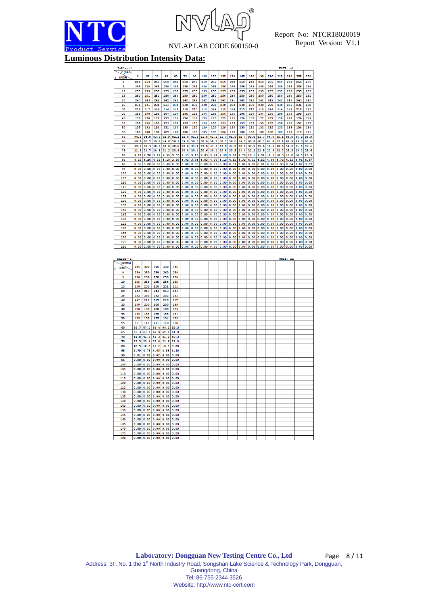



| <b>Luminous Distribution Intensity Data:</b> |
|----------------------------------------------|
|----------------------------------------------|

|            |      |                |      |                                                                                                                                                                                                                                                                            |      |                                                  |      |                |               |                                 |      |                                                  |      |      |           | UNIT:                                                                    | cd       |           |      |
|------------|------|----------------|------|----------------------------------------------------------------------------------------------------------------------------------------------------------------------------------------------------------------------------------------------------------------------------|------|--------------------------------------------------|------|----------------|---------------|---------------------------------|------|--------------------------------------------------|------|------|-----------|--------------------------------------------------------------------------|----------|-----------|------|
| C(DEG)     |      |                |      |                                                                                                                                                                                                                                                                            |      |                                                  |      |                |               |                                 |      |                                                  |      |      |           |                                                                          |          |           |      |
| (DEG)      | o    | 15             | 30   | 45                                                                                                                                                                                                                                                                         | 60   | 75                                               | 90   | 105            | 120           | 135                             | 150  | 165                                              | 180  | 195  | 210       | 225                                                                      | 240      | 255       | 270  |
|            |      |                |      |                                                                                                                                                                                                                                                                            |      |                                                  |      |                |               |                                 |      |                                                  |      |      |           |                                                                          |          |           |      |
| o          | 260  | 259            | 259  | 259                                                                                                                                                                                                                                                                        | 260  | 259                                              | 259  | 259            | 259           | 259                             | 260  | 259                                              | 260  | 259  | 259       | 259                                                                      | 260      | 259       | 259  |
| 5          | 258  | 258            | 258  | 258                                                                                                                                                                                                                                                                        | 258  | 258                                              | 258  | 258            | 258           | 258                             | 258  | 258                                              | 258  | 258  | 258       | 258                                                                      | 258      | 258       | 258  |
| 10         | 255  | 255            | 255  | 255                                                                                                                                                                                                                                                                        | 255  | 255                                              | 255  | 255            | 255           | 255                             | 255  | 255                                              | 255  | 255  | 255       | 255                                                                      | 255      | 255       | 255  |
| 15         | 250  | 251            | 250  | 250                                                                                                                                                                                                                                                                        | 250  | 250                                              | 250  | 250            | 250           | 250                             | 250  | 250                                              | 250  | 250  | 250       | 250                                                                      | 250      | 250       | 251  |
|            |      |                |      |                                                                                                                                                                                                                                                                            |      |                                                  |      |                |               |                                 |      |                                                  |      |      |           |                                                                          |          |           |      |
| 20         | 243  | 243            | 242  | 242                                                                                                                                                                                                                                                                        | 242  | 242                                              | 242  | 242            | 242           | 242                             | 241  | 242                                              | 242  | 242  | 242       | 242                                                                      | 243      | 243       | 243  |
| 25         | 231  | 231            | 231  | 231                                                                                                                                                                                                                                                                        | 230  | 230                                              | 230  | 230            | 230           | 230                             | 230  | 230                                              | 230  | 230  | 230       | 230                                                                      | 231      | 231       | 232  |
| 30         | 216  | 217            | 216  | 216                                                                                                                                                                                                                                                                        | 215  | 215                                              | 215  | 215            | 214           | 215                             | 214  | 215                                              | 216  | 215  | 216       | 216                                                                      | 217      | 216       | 217  |
| 35         | 199  | 198            | 198  | 197                                                                                                                                                                                                                                                                        | 197  | 196                                              | 196  | 196            | 196           | 196                             | 196  | 196                                              | 197  | 197  | 197       | 198                                                                      | 198      | 199       | 199  |
|            |      |                |      |                                                                                                                                                                                                                                                                            |      |                                                  |      |                |               |                                 |      |                                                  |      |      |           |                                                                          |          |           |      |
| 40         | 178  | 178            | 177  | 177                                                                                                                                                                                                                                                                        | 176  | 176                                              | 176  | 175            | 175           | 175                             | 175  | 176                                              | 177  | 177  | 177       | 178                                                                      | 178      | 179       | 179  |
| 45         | 156  | 156            | 155  | 154                                                                                                                                                                                                                                                                        | 154  | 153                                              | 153  | 153            | 153           | 153                             | 153  | 154                                              | 154  | 155  | 155       | 156                                                                      | 156      | 157       | 157  |
| 50         | 133  | 132            | 131  | 131                                                                                                                                                                                                                                                                        | 130  | 130                                              | 130  | 129            | 129           | 129                             | 130  | 130                                              | 131  | 132  | 132       | 133                                                                      | 133      | 134       | 134  |
|            |      |                |      |                                                                                                                                                                                                                                                                            |      |                                                  |      |                |               |                                 |      |                                                  |      |      |           |                                                                          |          |           |      |
| 55         | 108  | 108            | 107  | 107                                                                                                                                                                                                                                                                        | 106  | 106                                              | 106  | 105            | 105           | 106                             | 106  | 106                                              | 108  | 108  | 108       | 109                                                                      | 110      | 110       | 111  |
| 60         |      | 84.2 84.0      | 83.0 | 82.9                                                                                                                                                                                                                                                                       | 82.1 | 82.0                                             | 81.3 |                | $81.6$ $81.1$ | 81.7                            | 81.8 | 82.7                                             | 83.8 | 83.7 | 84.8      | 85.1                                                                     | 86.0     | 86.2      | 86.9 |
| 65         | 60.7 | 60.7           | 59.8 | 59.8                                                                                                                                                                                                                                                                       | 59.1 | 59.0                                             | 58.3 | 58.6           | 58.2          | 58.7                            | 58.8 | 59.7                                             | 60.8 | 60.7 | 61.8      | 62.1                                                                     | 62.9     | 63.0      | 63.6 |
|            |      |                |      |                                                                                                                                                                                                                                                                            |      |                                                  |      |                |               |                                 |      |                                                  |      |      |           |                                                                          |          |           |      |
| 70         |      | 39.3 39.4      | 38.5 | 38.6                                                                                                                                                                                                                                                                       | 38.0 | 38.0                                             | 37.4 |                | 37.6 37.3     | 37.8                            | 37.8 | 38.6                                             | 39.6 | 39.6 | 40.6      | 40.8                                                                     | 41.5     | 41.5      | 42.1 |
| 75         |      | $21.3$ $21.7$  |      | 20.8 21.2 20.4 20.8 20.1 20.6 20.1 20.8 20.5 21.4 22.2 21.8 22.6 22.7 23.3 23.2                                                                                                                                                                                            |      |                                                  |      |                |               |                                 |      |                                                  |      |      |           |                                                                          |          |           | 23.6 |
| 80         |      |                |      | 9.48 9.76 9.76 9.69 9.54 9.53 9.45 9.43 9.43 9.44 9.48 9.64 9.76 10.1 9.91 10.5 10.3 10.8 10.5 10.9                                                                                                                                                                        |      |                                                  |      |                |               |                                 |      |                                                  |      |      |           |                                                                          |          |           |      |
| 85         |      |                |      | 4.25 4.26 4.11 4.10 3.99 4.02 3.94 4.03 4.00 4.13 4.15 4.32 4.51 4.52 4.68 4.72 4.81 4.81 4.81                                                                                                                                                                             |      |                                                  |      |                |               |                                 |      |                                                  |      |      |           |                                                                          |          |           |      |
|            |      |                |      |                                                                                                                                                                                                                                                                            |      |                                                  |      |                |               |                                 |      |                                                  |      |      |           |                                                                          |          |           |      |
| 90         |      |                |      |                                                                                                                                                                                                                                                                            |      |                                                  |      |                |               |                                 |      |                                                  |      |      |           |                                                                          |          |           |      |
| 95         |      |                |      | $0.00 \, 0.00 \, 0.00 \, 0.00 \, 0.00$                                                                                                                                                                                                                                     |      |                                                  |      |                |               |                                 |      |                                                  |      |      |           |                                                                          |          | 0.00      | 0.00 |
| 100        |      |                |      | 0.00 0.00 0.00 0.00 0.00 0.00 0.00 0.00 0.00 0.00 0.00 0.00 0.00 0.00 0.00 0.00 0.00 0.00                                                                                                                                                                                  |      |                                                  |      |                |               |                                 |      |                                                  |      |      |           |                                                                          |          | 0.00 0.00 |      |
|            |      |                |      |                                                                                                                                                                                                                                                                            |      |                                                  |      |                |               |                                 |      |                                                  |      |      |           |                                                                          |          |           |      |
| 105        |      |                |      |                                                                                                                                                                                                                                                                            |      |                                                  |      |                |               |                                 |      |                                                  |      |      |           |                                                                          |          |           |      |
| 110        |      |                |      | 0.00 0.00 0.00 0.00 0.00 0.00 0.00 0.00 0.00 0.00 0.00 0.00 0.00 0.00 0.00 0.00 0.00 0.00 0.00 0.00                                                                                                                                                                        |      |                                                  |      |                |               |                                 |      |                                                  |      |      |           |                                                                          |          |           |      |
| 115        |      |                |      | 0.00 0.00 0.00 0.00 0.00 0.00 0.00 0.00 0.00 0.00 0.00 0.00 0.00 0.00 0.00 0.00 0.00 0.00 0.00 0.00                                                                                                                                                                        |      |                                                  |      |                |               |                                 |      |                                                  |      |      |           |                                                                          |          |           |      |
|            |      |                |      |                                                                                                                                                                                                                                                                            |      |                                                  |      |                |               |                                 |      |                                                  |      |      |           |                                                                          |          |           |      |
| 120        |      |                |      | 0.00 0.00 0.00 0.00 0.00 0.00 0.00 0.00 0.00 0.00 0.00 0.00 0.00 0.00 0.00 0.00 0.00 0.00 0.00 0.00 0.00                                                                                                                                                                   |      |                                                  |      |                |               |                                 |      |                                                  |      |      |           |                                                                          |          |           |      |
| 125        |      | 0.00   0.00    |      | 0.0000.0000.00                                                                                                                                                                                                                                                             |      | 0.00                                             |      | 0.00 0.00 0.00 |               | 0.00 0.00                       |      | $0.00$ $0.00$ $0.00$ $0.00$ $0.00$               |      |      |           |                                                                          | 0.00     | 0.00      | 0.00 |
| 130        | 0.00 | 0.00           | 0.00 | 0.00                                                                                                                                                                                                                                                                       | 0.00 | 0.00                                             | 0.00 | 0.00           | 0.00          | 0.00                            | 0.00 | 0.00                                             | 0.00 | 0.00 | 0.00      | 0.00                                                                     | 0.00     | 0.00      | 0.00 |
| 135        |      |                |      | $0.00 \begin{array}{ c c c c c c } 0.00 \end{array}$ 0.00 0.00                                                                                                                                                                                                             |      | $0.00$ $0.00$ $0.00$ $0.00$ $0.00$ $0.00$ $0.00$ |      |                |               |                                 |      | $0.00$ $0.00$ $0.00$ $0.00$ $0.00$ $0.00$ $0.00$ |      |      |           |                                                                          |          | 0.00      | 0.00 |
| 140        |      |                |      |                                                                                                                                                                                                                                                                            |      |                                                  |      |                |               |                                 |      |                                                  |      |      |           |                                                                          |          |           |      |
|            |      |                |      |                                                                                                                                                                                                                                                                            |      |                                                  |      |                |               |                                 |      |                                                  |      |      |           |                                                                          |          |           |      |
| 145        |      |                |      |                                                                                                                                                                                                                                                                            |      |                                                  |      |                |               |                                 |      |                                                  |      |      |           |                                                                          |          |           |      |
| 150        |      |                |      | 0.00 0.00 0.00 0.00 0.00 0.00 0.00 0.00 0.00 0.00 0.00 0.00 0.00 0.00 0.00 0.00 0.00 0.00 0.00 0.00 0.00                                                                                                                                                                   |      |                                                  |      |                |               |                                 |      |                                                  |      |      |           |                                                                          |          |           |      |
| 155        |      |                |      | $0.00 \, 0.00 \, 0.00 \, 0.00 \, 0.00$                                                                                                                                                                                                                                     |      |                                                  |      |                |               |                                 |      |                                                  |      |      |           |                                                                          |          | 0.00      | 0.00 |
|            |      |                |      |                                                                                                                                                                                                                                                                            |      |                                                  |      |                |               |                                 |      |                                                  |      |      |           |                                                                          |          |           |      |
| 160        | 0.00 | 0.00           |      | 0.00   0.00                                                                                                                                                                                                                                                                | 0.00 | 0.00                                             | 0.00 |                | 0.00 0.00     | 0.00                            | 0.00 | 0.00                                             | 0.00 | 0.00 | 0.00 0.00 |                                                                          | 0.00     | 0.00      | 0.00 |
| 165        |      |                |      | $0.00 \begin{array}{ c c c c c c } 0.00 \end{array}$ 0.00 0.00                                                                                                                                                                                                             |      |                                                  |      |                |               | $0.00$ 0.00 0.00 0.00 0.00 0.00 |      |                                                  |      |      |           | $0.00 \big  0.00 \big  0.00 \big  0.00 \big  0.00 \big  0.00 \big  0.00$ |          | 0.00      | 0.00 |
| 170        |      |                |      |                                                                                                                                                                                                                                                                            |      |                                                  |      |                |               |                                 |      |                                                  |      |      |           |                                                                          |          |           |      |
| 175        |      |                |      | 0.00 0.00 0.00 0.00 0.00 0.00 0.00 0.00 0.00 0.00 0.00 0.00 0.00 0.00 0.00 0.00 0.00 0.00 0.00 0.00                                                                                                                                                                        |      |                                                  |      |                |               |                                 |      |                                                  |      |      |           |                                                                          |          |           |      |
| 180        |      |                |      | $\boxed{0.00}\ \boxed{0.00}\ \boxed{0.00}\ \boxed{0.00}\ \boxed{0.00}\ \boxed{0.00}\ \boxed{0.00}\ \boxed{0.00}\ \boxed{0.00}\ \boxed{0.00}\ \boxed{0.00}\ \boxed{0.00}\ \boxed{0.00}\ \boxed{0.00}\ \boxed{0.00}\ \boxed{0.00}\ \boxed{0.00}\ \boxed{0.00}\ \boxed{0.00}$ |      |                                                  |      |                |               |                                 |      |                                                  |      |      |           |                                                                          |          |           |      |
| Table--2   |      |                |      |                                                                                                                                                                                                                                                                            |      |                                                  |      |                |               |                                 |      |                                                  |      |      |           |                                                                          | UNIT: ed |           |      |
| C(DEG)     | 285  | 300            | 315  | 330                                                                                                                                                                                                                                                                        | 345  |                                                  |      |                |               |                                 |      |                                                  |      |      |           |                                                                          |          |           |      |
| (DEG)      |      |                |      |                                                                                                                                                                                                                                                                            |      |                                                  |      |                |               |                                 |      |                                                  |      |      |           |                                                                          |          |           |      |
| o          | 259  | 259            | 259  | 260                                                                                                                                                                                                                                                                        | 259  |                                                  |      |                |               |                                 |      |                                                  |      |      |           |                                                                          |          |           |      |
| 5          | 258  | 259            | 258  | 259                                                                                                                                                                                                                                                                        | 258  |                                                  |      |                |               |                                 |      |                                                  |      |      |           |                                                                          |          |           |      |
| 10         | 255  | 255            | 255  | 256                                                                                                                                                                                                                                                                        | 255  |                                                  |      |                |               |                                 |      |                                                  |      |      |           |                                                                          |          |           |      |
| 15         |      |                | 250  |                                                                                                                                                                                                                                                                            | 251  |                                                  |      |                |               |                                 |      |                                                  |      |      |           |                                                                          |          |           |      |
|            | 250  | 251            |      | 251                                                                                                                                                                                                                                                                        |      |                                                  |      |                |               |                                 |      |                                                  |      |      |           |                                                                          |          |           |      |
| 20         | 243  | 243            | 243  | 243                                                                                                                                                                                                                                                                        | 243  |                                                  |      |                |               |                                 |      |                                                  |      |      |           |                                                                          |          |           |      |
| 25         | 232  | 232            | 232  | 232                                                                                                                                                                                                                                                                        | 231  |                                                  |      |                |               |                                 |      |                                                  |      |      |           |                                                                          |          |           |      |
| 30         | 217  | 218            | 217  | 218                                                                                                                                                                                                                                                                        | 217  |                                                  |      |                |               |                                 |      |                                                  |      |      |           |                                                                          |          |           |      |
| 35         | 200  | 200            | 200  | 200                                                                                                                                                                                                                                                                        | 199  |                                                  |      |                |               |                                 |      |                                                  |      |      |           |                                                                          |          |           |      |
| 40         | 180  |                |      | 180                                                                                                                                                                                                                                                                        | 179  |                                                  |      |                |               |                                 |      |                                                  |      |      |           |                                                                          |          |           |      |
|            |      | 180            | 180  |                                                                                                                                                                                                                                                                            |      |                                                  |      |                |               |                                 |      |                                                  |      |      |           |                                                                          |          |           |      |
| 45         | 158  | 158            | 158  | 158                                                                                                                                                                                                                                                                        | 157  |                                                  |      |                |               |                                 |      |                                                  |      |      |           |                                                                          |          |           |      |
| 50         | 135  | 135            | 135  | 134                                                                                                                                                                                                                                                                        | 133  |                                                  |      |                |               |                                 |      |                                                  |      |      |           |                                                                          |          |           |      |
| 55         | 111  | 111            | 111  | 110                                                                                                                                                                                                                                                                        | 110  |                                                  |      |                |               |                                 |      |                                                  |      |      |           |                                                                          |          |           |      |
| 60         | 86.7 | 87.0 86.4      |      | 86.2                                                                                                                                                                                                                                                                       | 85.3 |                                                  |      |                |               |                                 |      |                                                  |      |      |           |                                                                          |          |           |      |
|            |      |                |      |                                                                                                                                                                                                                                                                            |      |                                                  |      |                |               |                                 |      |                                                  |      |      |           |                                                                          |          |           |      |
| 65         | 63.3 | 63.6           | 62.9 | 62.8                                                                                                                                                                                                                                                                       | 61.8 |                                                  |      |                |               |                                 |      |                                                  |      |      |           |                                                                          |          |           |      |
| 70         | 41.8 | 41.9           |      | 41.3 41.2                                                                                                                                                                                                                                                                  | 40.3 |                                                  |      |                |               |                                 |      |                                                  |      |      |           |                                                                          |          |           |      |
| 75         |      |                |      | 23.3 23.4 22.8 22.8 22.0                                                                                                                                                                                                                                                   |      |                                                  |      |                |               |                                 |      |                                                  |      |      |           |                                                                          |          |           |      |
| 80         |      |                |      | 10.5 10.8 10.2 10.4 9.80                                                                                                                                                                                                                                                   |      |                                                  |      |                |               |                                 |      |                                                  |      |      |           |                                                                          |          |           |      |
|            |      |                |      |                                                                                                                                                                                                                                                                            |      |                                                  |      |                |               |                                 |      |                                                  |      |      |           |                                                                          |          |           |      |
| 85         |      |                |      | 4.79 4.78 4.65 4.58 4.43                                                                                                                                                                                                                                                   |      |                                                  |      |                |               |                                 |      |                                                  |      |      |           |                                                                          |          |           |      |
| 90         |      |                |      | $0.01$ 0.02 0.02 0.00 0.00                                                                                                                                                                                                                                                 |      |                                                  |      |                |               |                                 |      |                                                  |      |      |           |                                                                          |          |           |      |
| 95         |      |                |      |                                                                                                                                                                                                                                                                            |      |                                                  |      |                |               |                                 |      |                                                  |      |      |           |                                                                          |          |           |      |
| 100        |      |                |      | $0.00 \vert 0.00 \vert 0.00 \vert 0.00 \vert 0.00$                                                                                                                                                                                                                         |      |                                                  |      |                |               |                                 |      |                                                  |      |      |           |                                                                          |          |           |      |
|            |      |                |      |                                                                                                                                                                                                                                                                            |      |                                                  |      |                |               |                                 |      |                                                  |      |      |           |                                                                          |          |           |      |
| 105        |      |                |      | $0.00 \begin{array}{ c c c c c c } 0.00 & 0.00 & 0.00 \end{array}$                                                                                                                                                                                                         |      |                                                  |      |                |               |                                 |      |                                                  |      |      |           |                                                                          |          |           |      |
| 110        |      |                |      |                                                                                                                                                                                                                                                                            |      |                                                  |      |                |               |                                 |      |                                                  |      |      |           |                                                                          |          |           |      |
| 115        |      |                |      |                                                                                                                                                                                                                                                                            |      |                                                  |      |                |               |                                 |      |                                                  |      |      |           |                                                                          |          |           |      |
| 120        |      |                |      | 0.000000000000000000000                                                                                                                                                                                                                                                    |      |                                                  |      |                |               |                                 |      |                                                  |      |      |           |                                                                          |          |           |      |
|            |      |                |      |                                                                                                                                                                                                                                                                            |      |                                                  |      |                |               |                                 |      |                                                  |      |      |           |                                                                          |          |           |      |
| 125        |      |                |      | $0.00 \begin{array}{ c c c c c c } 0.00 & 0.00 & 0.00 \end{array}$                                                                                                                                                                                                         |      |                                                  |      |                |               |                                 |      |                                                  |      |      |           |                                                                          |          |           |      |
| 130        | 0.00 | 0.00           | 0.00 | 0.00                                                                                                                                                                                                                                                                       | 0.00 |                                                  |      |                |               |                                 |      |                                                  |      |      |           |                                                                          |          |           |      |
| 135        | 0.00 |                |      | 0.0000000000000000                                                                                                                                                                                                                                                         |      |                                                  |      |                |               |                                 |      |                                                  |      |      |           |                                                                          |          |           |      |
| 140        |      |                |      | 0.00000000000000000000                                                                                                                                                                                                                                                     |      |                                                  |      |                |               |                                 |      |                                                  |      |      |           |                                                                          |          |           |      |
|            |      |                |      |                                                                                                                                                                                                                                                                            |      |                                                  |      |                |               |                                 |      |                                                  |      |      |           |                                                                          |          |           |      |
| 145        |      |                |      | $0.00$ $0.00$ $0.00$ $0.00$ $0.00$                                                                                                                                                                                                                                         |      |                                                  |      |                |               |                                 |      |                                                  |      |      |           |                                                                          |          |           |      |
| 150        |      |                |      |                                                                                                                                                                                                                                                                            |      |                                                  |      |                |               |                                 |      |                                                  |      |      |           |                                                                          |          |           |      |
| 155        |      |                |      | $0.00 \begin{array}{ c c c } 0.00 \end{array}$ 0.00 0.00                                                                                                                                                                                                                   |      |                                                  |      |                |               |                                 |      |                                                  |      |      |           |                                                                          |          |           |      |
| 160        |      | 0.00 0.00 0.00 |      | 0.0000.00                                                                                                                                                                                                                                                                  |      |                                                  |      |                |               |                                 |      |                                                  |      |      |           |                                                                          |          |           |      |
|            |      |                |      |                                                                                                                                                                                                                                                                            |      |                                                  |      |                |               |                                 |      |                                                  |      |      |           |                                                                          |          |           |      |
| 165        | 0.00 | 0.00 0.00      |      | 0.00                                                                                                                                                                                                                                                                       | 0.00 |                                                  |      |                |               |                                 |      |                                                  |      |      |           |                                                                          |          |           |      |
| 170        |      |                |      | $0.00$ 0.00 0.00 0.00 0.00                                                                                                                                                                                                                                                 |      |                                                  |      |                |               |                                 |      |                                                  |      |      |           |                                                                          |          |           |      |
| 175<br>180 |      |                |      | $0.00$ 0.00 0.00 0.00 0.00<br>o onto onto onto onto on                                                                                                                                                                                                                     |      |                                                  |      |                |               |                                 |      |                                                  |      |      |           |                                                                          |          |           |      |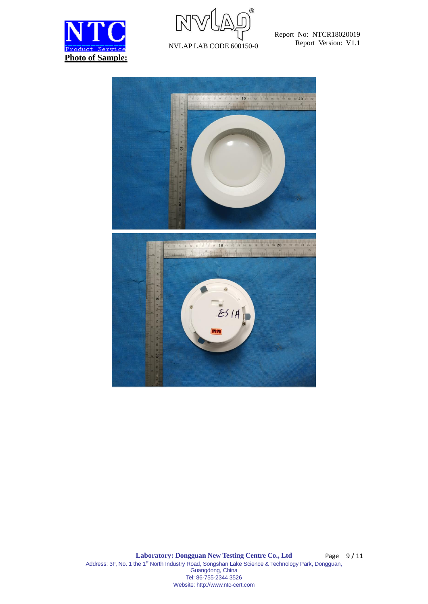



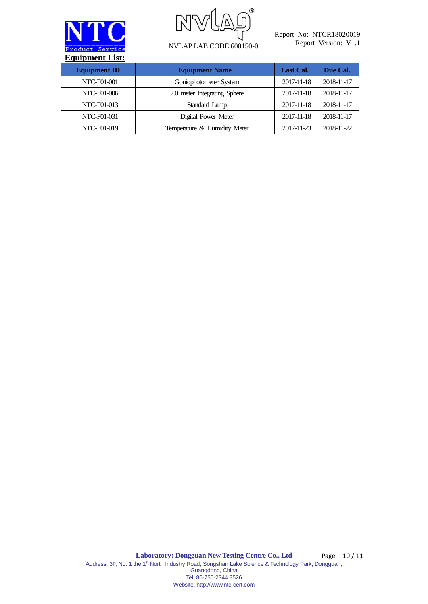



| <b>Equipment ID</b> | <b>Equipment Name</b>        | Last Cal.  | Due Cal.   |
|---------------------|------------------------------|------------|------------|
| <b>NTC-F01-001</b>  | Goniophotometer System       | 2017-11-18 | 2018-11-17 |
| NTC-F01-006         | 2.0 meter Integrating Sphere | 2017-11-18 | 2018-11-17 |
| NTC-F01-013         | Standard Lamp                | 2017-11-18 | 2018-11-17 |
| NTC-F01-031         | Digital Power Meter          | 2017-11-18 | 2018-11-17 |
| NTC-F01-019         | Temperature & Humidity Meter | 2017-11-23 | 2018-11-22 |